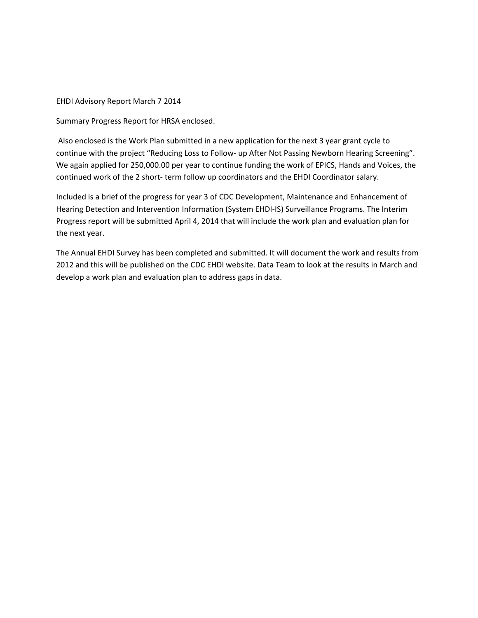EHDI Advisory Report March 7 2014

Summary Progress Report for HRSA enclosed.

Also enclosed is the Work Plan submitted in a new application for the next 3 year grant cycle to continue with the project "Reducing Loss to Follow‐ up After Not Passing Newborn Hearing Screening". We again applied for 250,000.00 per year to continue funding the work of EPICS, Hands and Voices, the continued work of the 2 short- term follow up coordinators and the EHDI Coordinator salary.

Included is a brief of the progress for year 3 of CDC Development, Maintenance and Enhancement of Hearing Detection and Intervention Information (System EHDI‐IS) Surveillance Programs. The Interim Progress report will be submitted April 4, 2014 that will include the work plan and evaluation plan for the next year.

The Annual EHDI Survey has been completed and submitted. It will document the work and results from 2012 and this will be published on the CDC EHDI website. Data Team to look at the results in March and develop a work plan and evaluation plan to address gaps in data.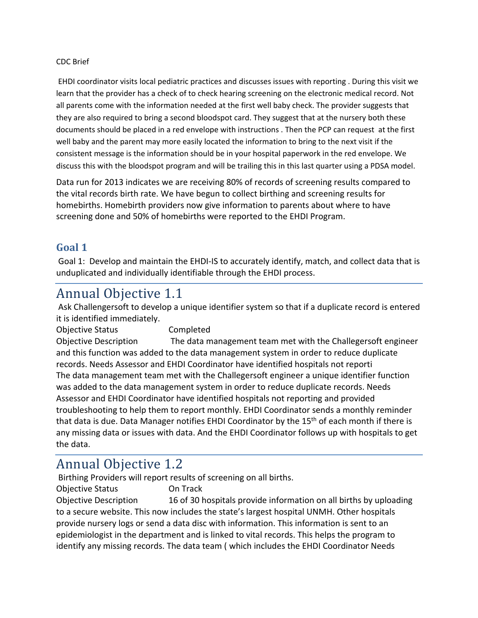#### CDC Brief

EHDI coordinator visits local pediatric practices and discusses issues with reporting . During this visit we learn that the provider has a check of to check hearing screening on the electronic medical record. Not all parents come with the information needed at the first well baby check. The provider suggests that they are also required to bring a second bloodspot card. They suggest that at the nursery both these documents should be placed in a red envelope with instructions . Then the PCP can request at the first well baby and the parent may more easily located the information to bring to the next visit if the consistent message is the information should be in your hospital paperwork in the red envelope. We discuss this with the bloodspot program and will be trailing this in this last quarter using a PDSA model.

Data run for 2013 indicates we are receiving 80% of records of screening results compared to the vital records birth rate. We have begun to collect birthing and screening results for homebirths. Homebirth providers now give information to parents about where to have screening done and 50% of homebirths were reported to the EHDI Program.

#### **Goal 1**

Goal 1: Develop and maintain the EHDI‐IS to accurately identify, match, and collect data that is unduplicated and individually identifiable through the EHDI process.

## Annual Objective 1.1

Ask Challengersoft to develop a unique identifier system so that if a duplicate record is entered it is identified immediately.

Objective Status Completed Objective Description The data management team met with the Challegersoft engineer and this function was added to the data management system in order to reduce duplicate records. Needs Assessor and EHDI Coordinator have identified hospitals not reporti The data management team met with the Challegersoft engineer a unique identifier function was added to the data management system in order to reduce duplicate records. Needs Assessor and EHDI Coordinator have identified hospitals not reporting and provided troubleshooting to help them to report monthly. EHDI Coordinator sends a monthly reminder that data is due. Data Manager notifies EHDI Coordinator by the  $15<sup>th</sup>$  of each month if there is any missing data or issues with data. And the EHDI Coordinator follows up with hospitals to get the data.

# Annual Objective 1.2

Birthing Providers will report results of screening on all births.

Objective Status On Track Objective Description 16 of 30 hospitals provide information on all births by uploading to a secure website. This now includes the state's largest hospital UNMH. Other hospitals provide nursery logs or send a data disc with information. This information is sent to an epidemiologist in the department and is linked to vital records. This helps the program to identify any missing records. The data team ( which includes the EHDI Coordinator Needs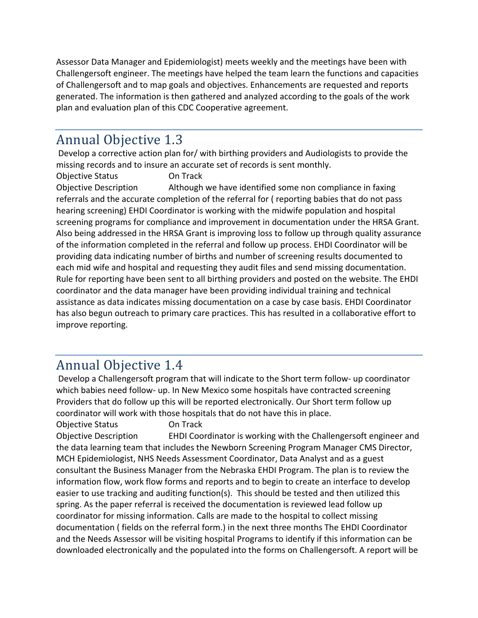Assessor Data Manager and Epidemiologist) meets weekly and the meetings have been with Challengersoft engineer. The meetings have helped the team learn the functions and capacities of Challengersoft and to map goals and objectives. Enhancements are requested and reports generated. The information is then gathered and analyzed according to the goals of the work plan and evaluation plan of this CDC Cooperative agreement.

# Annual Objective 1.3

Develop a corrective action plan for/ with birthing providers and Audiologists to provide the missing records and to insure an accurate set of records is sent monthly.

Objective Status On Track

Objective Description Although we have identified some non compliance in faxing referrals and the accurate completion of the referral for ( reporting babies that do not pass hearing screening) EHDI Coordinator is working with the midwife population and hospital screening programs for compliance and improvement in documentation under the HRSA Grant. Also being addressed in the HRSA Grant is improving loss to follow up through quality assurance of the information completed in the referral and follow up process. EHDI Coordinator will be providing data indicating number of births and number of screening results documented to each mid wife and hospital and requesting they audit files and send missing documentation. Rule for reporting have been sent to all birthing providers and posted on the website. The EHDI coordinator and the data manager have been providing individual training and technical assistance as data indicates missing documentation on a case by case basis. EHDI Coordinator has also begun outreach to primary care practices. This has resulted in a collaborative effort to improve reporting.

# Annual Objective 1.4

Develop a Challengersoft program that will indicate to the Short term follow‐ up coordinator which babies need follow- up. In New Mexico some hospitals have contracted screening Providers that do follow up this will be reported electronically. Our Short term follow up coordinator will work with those hospitals that do not have this in place.

Objective Status On Track Objective Description EHDI Coordinator is working with the Challengersoft engineer and the data learning team that includes the Newborn Screening Program Manager CMS Director, MCH Epidemiologist, NHS Needs Assessment Coordinator, Data Analyst and as a guest consultant the Business Manager from the Nebraska EHDI Program. The plan is to review the information flow, work flow forms and reports and to begin to create an interface to develop easier to use tracking and auditing function(s). This should be tested and then utilized this spring. As the paper referral is received the documentation is reviewed lead follow up coordinator for missing information. Calls are made to the hospital to collect missing documentation ( fields on the referral form.) in the next three months The EHDI Coordinator and the Needs Assessor will be visiting hospital Programs to identify if this information can be downloaded electronically and the populated into the forms on Challengersoft. A report will be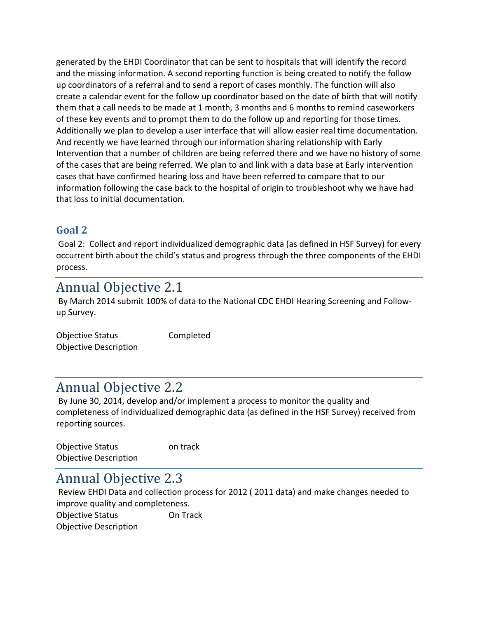generated by the EHDI Coordinator that can be sent to hospitals that will identify the record and the missing information. A second reporting function is being created to notify the follow up coordinators of a referral and to send a report of cases monthly. The function will also create a calendar event for the follow up coordinator based on the date of birth that will notify them that a call needs to be made at 1 month, 3 months and 6 months to remind caseworkers of these key events and to prompt them to do the follow up and reporting for those times. Additionally we plan to develop a user interface that will allow easier real time documentation. And recently we have learned through our information sharing relationship with Early Intervention that a number of children are being referred there and we have no history of some of the cases that are being referred. We plan to and link with a data base at Early intervention cases that have confirmed hearing loss and have been referred to compare that to our information following the case back to the hospital of origin to troubleshoot why we have had that loss to initial documentation.

#### **Goal 2**

Goal 2: Collect and report individualized demographic data (as defined in HSF Survey) for every occurrent birth about the child's status and progress through the three components of the EHDI process.

# Annual Objective 2.1

By March 2014 submit 100% of data to the National CDC EHDI Hearing Screening and Follow‐ up Survey.

| <b>Objective Status</b>      | Completed |
|------------------------------|-----------|
| <b>Objective Description</b> |           |

## Annual Objective 2.2

By June 30, 2014, develop and/or implement a process to monitor the quality and completeness of individualized demographic data (as defined in the HSF Survey) received from reporting sources.

| <b>Objective Status</b>      | on track |
|------------------------------|----------|
| <b>Objective Description</b> |          |

## Annual Objective 2.3

Review EHDI Data and collection process for 2012 ( 2011 data) and make changes needed to improve quality and completeness. Objective Status On Track Objective Description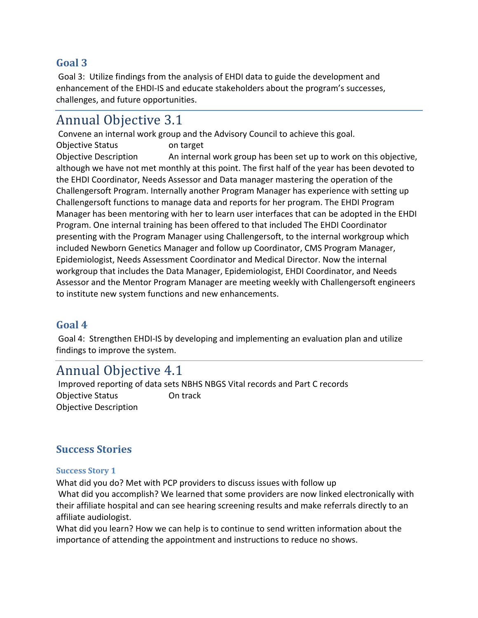#### **Goal 3**

Goal 3: Utilize findings from the analysis of EHDI data to guide the development and enhancement of the EHDI‐IS and educate stakeholders about the program's successes, challenges, and future opportunities.

## Annual Objective 3.1

Convene an internal work group and the Advisory Council to achieve this goal. Objective Status on target Objective Description An internal work group has been set up to work on this objective, although we have not met monthly at this point. The first half of the year has been devoted to the EHDI Coordinator, Needs Assessor and Data manager mastering the operation of the Challengersoft Program. Internally another Program Manager has experience with setting up Challengersoft functions to manage data and reports for her program. The EHDI Program Manager has been mentoring with her to learn user interfaces that can be adopted in the EHDI Program. One internal training has been offered to that included The EHDI Coordinator presenting with the Program Manager using Challengersoft, to the internal workgroup which included Newborn Genetics Manager and follow up Coordinator, CMS Program Manager, Epidemiologist, Needs Assessment Coordinator and Medical Director. Now the internal workgroup that includes the Data Manager, Epidemiologist, EHDI Coordinator, and Needs Assessor and the Mentor Program Manager are meeting weekly with Challengersoft engineers to institute new system functions and new enhancements.

#### **Goal 4**

Goal 4: Strengthen EHDI‐IS by developing and implementing an evaluation plan and utilize findings to improve the system.

### Annual Objective 4.1

Improved reporting of data sets NBHS NBGS Vital records and Part C records Objective Status **On track** Objective Description

#### **Success Stories**

#### **Success Story 1**

What did you do? Met with PCP providers to discuss issues with follow up What did you accomplish? We learned that some providers are now linked electronically with their affiliate hospital and can see hearing screening results and make referrals directly to an affiliate audiologist.

What did you learn? How we can help is to continue to send written information about the importance of attending the appointment and instructions to reduce no shows.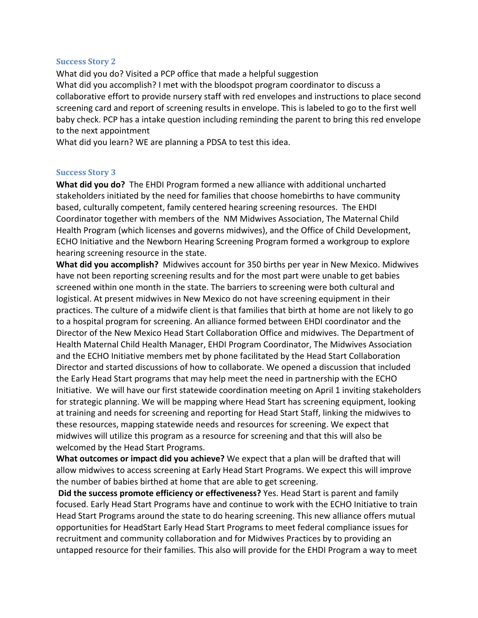#### **Success Story 2**

What did you do? Visited a PCP office that made a helpful suggestion What did you accomplish? I met with the bloodspot program coordinator to discuss a collaborative effort to provide nursery staff with red envelopes and instructions to place second screening card and report of screening results in envelope. This is labeled to go to the first well baby check. PCP has a intake question including reminding the parent to bring this red envelope to the next appointment

What did you learn? WE are planning a PDSA to test this idea.

#### **Success Story 3**

**What did you do?** The EHDI Program formed a new alliance with additional uncharted stakeholders initiated by the need for families that choose homebirths to have community based, culturally competent, family centered hearing screening resources. The EHDI Coordinator together with members of the NM Midwives Association, The Maternal Child Health Program (which licenses and governs midwives), and the Office of Child Development, ECHO Initiative and the Newborn Hearing Screening Program formed a workgroup to explore hearing screening resource in the state.

**What did you accomplish?** Midwives account for 350 births per year in New Mexico. Midwives have not been reporting screening results and for the most part were unable to get babies screened within one month in the state. The barriers to screening were both cultural and logistical. At present midwives in New Mexico do not have screening equipment in their practices. The culture of a midwife client is that families that birth at home are not likely to go to a hospital program for screening. An alliance formed between EHDI coordinator and the Director of the New Mexico Head Start Collaboration Office and midwives. The Department of Health Maternal Child Health Manager, EHDI Program Coordinator, The Midwives Association and the ECHO Initiative members met by phone facilitated by the Head Start Collaboration Director and started discussions of how to collaborate. We opened a discussion that included the Early Head Start programs that may help meet the need in partnership with the ECHO Initiative. We will have our first statewide coordination meeting on April 1 inviting stakeholders for strategic planning. We will be mapping where Head Start has screening equipment, looking at training and needs for screening and reporting for Head Start Staff, linking the midwives to these resources, mapping statewide needs and resources for screening. We expect that midwives will utilize this program as a resource for screening and that this will also be welcomed by the Head Start Programs.

**What outcomes or impact did you achieve?** We expect that a plan will be drafted that will allow midwives to access screening at Early Head Start Programs. We expect this will improve the number of babies birthed at home that are able to get screening.

**Did the success promote efficiency or effectiveness?** Yes. Head Start is parent and family focused. Early Head Start Programs have and continue to work with the ECHO Initiative to train Head Start Programs around the state to do hearing screening. This new alliance offers mutual opportunities for HeadStart Early Head Start Programs to meet federal compliance issues for recruitment and community collaboration and for Midwives Practices by to providing an untapped resource for their families. This also will provide for the EHDI Program a way to meet